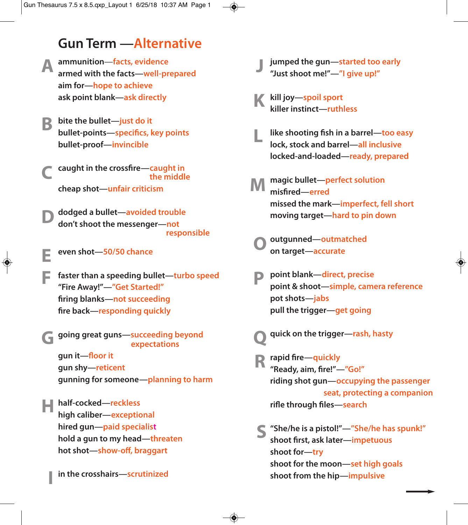## **Gun Term —Alternative**

- **A** ammunition—facts, evidence<br>armed with the facts—well-pr **armed with the facts—well-prepared aim for—hope to achieve ask point blank—ask directly**
- **bite the bullet—just do it bullet-points—specifics, key points bullet-proof—invincible B**
- **caught in the crossfire—caught in the middle cheap shot—unfair criticism C**
- **dodged a bullet—avoided trouble don't shoot the messenger—not responsible D**
- **even shot—50/50 chance E**
- **faster than a speeding bullet—turbo speed "Fire Away!"—"Get Started!" firing blanks—not succeeding fire back—responding quickly F**

**going great guns—succeeding beyond expectations gun it—floor it G**

**gun shy—reticent gunning for someone—planning to harm**

**H** half-cocked—reckless<br>high caliber—exception **high caliber—exceptional hired gun—paid specialist hold a gun to my head—threaten hot shot—show-off, braggart**

**in the crosshairs—scrutinized I**

- **jumped the gun—started too early "Just shoot me!"—"I give up!" J**
- **kill joy—spoil sport killer instinct—ruthless K**
- **like shooting fish in a barrel—too easy lock, stock and barrel—all inclusive locked-and-loaded—ready, prepared L**
- **magic bullet—perfect solution misfired—erred missed the mark—imperfect, fell short moving target—hard to pin down M**
- **outgunned—outmatched on target—accurate O**
- **point blank—direct, precise point & shoot—simple, camera reference pot shots—jabs pull the trigger—get going P**
- **quick on the trigger—rash, hasty Q**
- **rapid fire—quickly "Ready, aim, fire!"—"Go!" riding shot gun—occupying the passenger seat, protecting a companion rifle through files—search R**
- **"She/he is a pistol!"—"She/he has spunk!" S shoot first, ask later—impetuous shoot for—try shoot for the moon—set high goals shoot from the hip—impulsive**